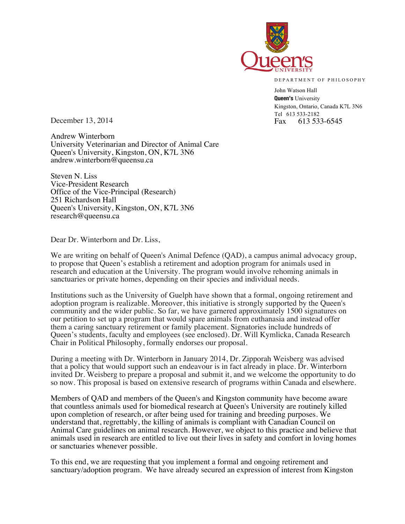

DEPARTMENT OF PHILOSOPHY

John Watson Hall **Queen's** University Kingston, Ontario, Canada K7L 3N6 Tel 613 533-2182<br>Fax 613 533-6545

December 13, 2014  $\qquad \qquad$  Fax

Andrew Winterborn University Veterinarian and Director of Animal Care Queen's University, Kingston, ON, K7L 3N6 andrew.winterborn@queensu.ca

Steven N. Liss Vice-President Research Office of the Vice-Principal (Research) 251 Richardson Hall Queen's University, Kingston, ON, K7L 3N6 research@queensu.ca

Dear Dr. Winterborn and Dr. Liss,

We are writing on behalf of Queen's Animal Defence (QAD), a campus animal advocacy group, to propose that Queen's establish a retirement and adoption program for animals used in research and education at the University. The program would involve rehoming animals in sanctuaries or private homes, depending on their species and individual needs.

Institutions such as the University of Guelph have shown that a formal, ongoing retirement and adoption program is realizable. Moreover, this initiative is strongly supported by the Queen's community and the wider public. So far, we have garnered approximately 1500 signatures on our petition to set up a program that would spare animals from euthanasia and instead offer them a caring sanctuary retirement or family placement. Signatories include hundreds of Queen's students, faculty and employees (see enclosed). Dr. Will Kymlicka, Canada Research Chair in Political Philosophy, formally endorses our proposal.

During a meeting with Dr. Winterborn in January 2014, Dr. Zipporah Weisberg was advised that a policy that would support such an endeavour is in fact already in place. Dr. Winterborn invited Dr. Weisberg to prepare a proposal and submit it, and we welcome the opportunity to do so now. This proposal is based on extensive research of programs within Canada and elsewhere.

Members of QAD and members of the Queen's and Kingston community have become aware that countless animals used for biomedical research at Queen's University are routinely killed upon completion of research, or after being used for training and breeding purposes. We understand that, regrettably, the killing of animals is compliant with Canadian Council on Animal Care guidelines on animal research. However, we object to this practice and believe that animals used in research are entitled to live out their lives in safety and comfort in loving homes or sanctuaries whenever possible.

To this end, we are requesting that you implement a formal and ongoing retirement and sanctuary/adoption program. We have already secured an expression of interest from Kingston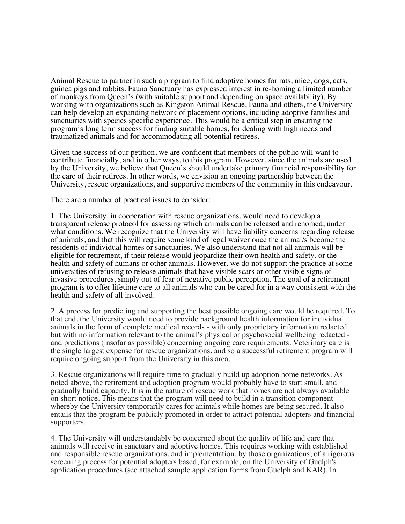Animal Rescue to partner in such a program to find adoptive homes for rats, mice, dogs, cats, guinea pigs and rabbits. Fauna Sanctuary has expressed interest in re-homing a limited number of monkeys from Queen's (with suitable support and depending on space availability). By working with organizations such as Kingston Animal Rescue, Fauna and others, the University can help develop an expanding network of placement options, including adoptive families and sanctuaries with species specific experience. This would be a critical step in ensuring the program's long term success for finding suitable homes, for dealing with high needs and traumatized animals and for accommodating all potential retirees.

Given the success of our petition, we are confident that members of the public will want to contribute financially, and in other ways, to this program. However, since the animals are used by the University, we believe that Queen's should undertake primary financial responsibility for the care of their retirees. In other words, we envision an ongoing partnership between the University, rescue organizations, and supportive members of the community in this endeavour.

There are a number of practical issues to consider:

1. The University, in cooperation with rescue organizations, would need to develop a transparent release protocol for assessing which animals can be released and rehomed, under what conditions. We recognize that the University will have liability concerns regarding release of animals, and that this will require some kind of legal waiver once the animal/s become the residents of individual homes or sanctuaries. We also understand that not all animals will be eligible for retirement, if their release would jeopardize their own health and safety, or the health and safety of humans or other animals. However, we do not support the practice at some universities of refusing to release animals that have visible scars or other visible signs of invasive procedures, simply out of fear of negative public perception. The goal of a retirement program is to offer lifetime care to all animals who can be cared for in a way consistent with the health and safety of all involved.

2. A process for predicting and supporting the best possible ongoing care would be required. To that end, the University would need to provide background health information for individual animals in the form of complete medical records - with only proprietary information redacted but with no information relevant to the animal's physical or psychosocial wellbeing redacted and predictions (insofar as possible) concerning ongoing care requirements. Veterinary care is the single largest expense for rescue organizations, and so a successful retirement program will require ongoing support from the University in this area.

3. Rescue organizations will require time to gradually build up adoption home networks. As noted above, the retirement and adoption program would probably have to start small, and gradually build capacity. It is in the nature of rescue work that homes are not always available on short notice. This means that the program will need to build in a transition component whereby the University temporarily cares for animals while homes are being secured. It also entails that the program be publicly promoted in order to attract potential adopters and financial supporters.

4. The University will understandably be concerned about the quality of life and care that animals will receive in sanctuary and adoptive homes. This requires working with established and responsible rescue organizations, and implementation, by those organizations, of a rigorous screening process for potential adopters based, for example, on the University of Guelph's application procedures (see attached sample application forms from Guelph and KAR). In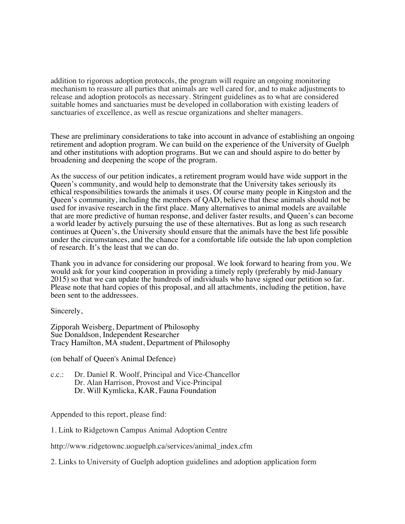addition to rigorous adoption protocols, the program will require an ongoing monitoring mechanism to reassure all parties that animals are well cared for, and to make adjustments to release and adoption protocols as necessary. Stringent guidelines as to what are considered suitable homes and sanctuaries must be developed in collaboration with existing leaders of sanctuaries of excellence, as well as rescue organizations and shelter managers.

These are preliminary considerations to take into account in advance of establishing an ongoing retirement and adoption program. We can build on the experience of the University of Guelph and other institutions with adoption programs. But we can and should aspire to do better by broadening and deepening the scope of the program.

As the success of our petition indicates, a retirement program would have wide support in the Queen's community, and would help to demonstrate that the University takes seriously its ethical responsibilities towards the animals it uses. Of course many people in Kingston and the Queen's community, including the members of QAD, believe that these animals should not be used for invasive research in the first place. Many alternatives to animal models are available that are more predictive of human response, and deliver faster results, and Queen's can become a world leader by actively pursuing the use of these alternatives. But as long as such research continues at Queen's, the University should ensure that the animals have the best life possible under the circumstances, and the chance for a comfortable life outside the lab upon completion of research. It's the least that we can do.

Thank you in advance for considering our proposal. We look forward to hearing from you. We would ask for your kind cooperation in providing a timely reply (preferably by mid-January 2015) so that we can update the hundreds of individuals who have signed our petition so far. Please note that hard copies of this proposal, and all attachments, including the petition, have been sent to the addressees.

Sincerely,

Zipporah Weisberg, Department of Philosophy Sue Donaldson, Independent Researcher Tracy Hamilton, MA student, Department of Philosophy

(on behalf of Queen's Animal Defence)

c.c.: Dr. Daniel R. Woolf, Principal and Vice-Chancellor Dr. Alan Harrison, Provost and Vice-Principal Dr. Will Kymlicka, KAR, Fauna Foundation

Appended to this report, please find:

1. Link to Ridgetown Campus Animal Adoption Centre

http://www.ridgetownc.uoguelph.ca/services/animal\_index.cfm

2. Links to University of Guelph adoption guidelines and adoption application form